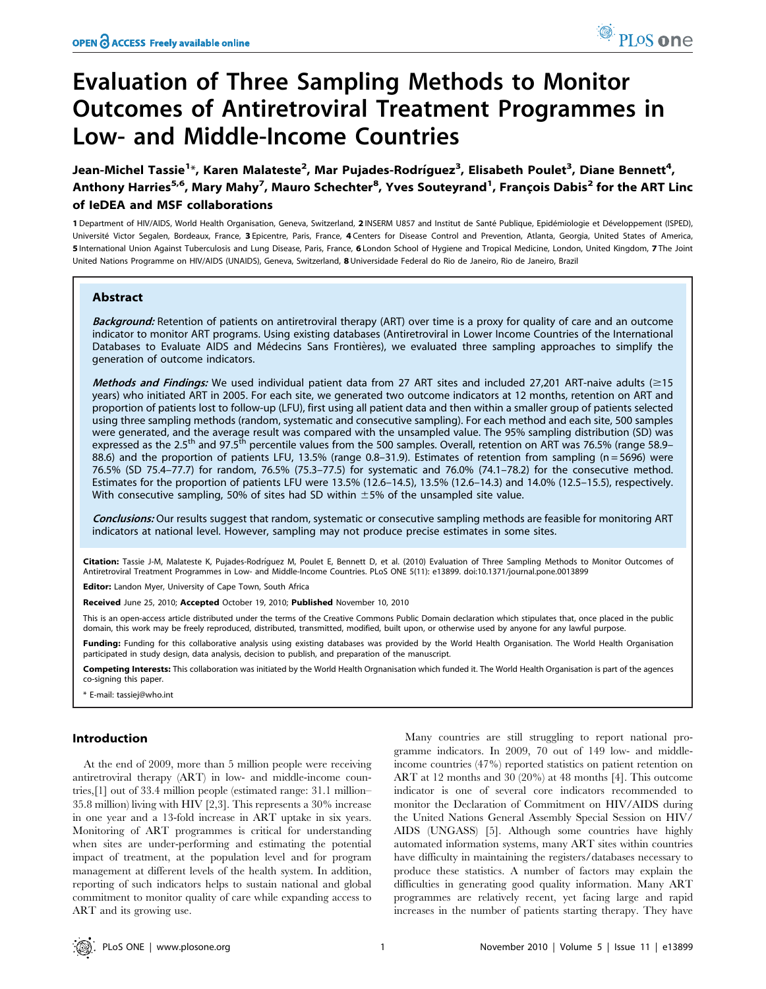# Evaluation of Three Sampling Methods to Monitor Outcomes of Antiretroviral Treatment Programmes in Low- and Middle-Income Countries

Jean-Michel Tassie<sup>1</sup>\*, Karen Malateste<sup>2</sup>, Mar Pujades-Rodríguez<sup>3</sup>, Elisabeth Poulet<sup>3</sup>, Diane Bennett<sup>4</sup>, Anthony Harries<sup>5,6</sup>, Mary Mahy<sup>7</sup>, Mauro Schechter<sup>8</sup>, Yves Souteyrand<sup>1</sup>, François Dabis<sup>2</sup> for the ART Linc of IeDEA and MSF collaborations

1 Department of HIV/AIDS, World Health Organisation, Geneva, Switzerland, 2 INSERM U857 and Institut de Santé Publique, Epidémiologie et Développement (ISPED), Université Victor Segalen, Bordeaux, France, 3 Epicentre, Paris, France, 4 Centers for Disease Control and Prevention, Atlanta, Georgia, United States of America, 5 International Union Against Tuberculosis and Lung Disease, Paris, France, 6 London School of Hygiene and Tropical Medicine, London, United Kingdom, 7 The Joint United Nations Programme on HIV/AIDS (UNAIDS), Geneva, Switzerland, 8 Universidade Federal do Rio de Janeiro, Rio de Janeiro, Brazil

# Abstract

Background: Retention of patients on antiretroviral therapy (ART) over time is a proxy for quality of care and an outcome indicator to monitor ART programs. Using existing databases (Antiretroviral in Lower Income Countries of the International Databases to Evaluate AIDS and Médecins Sans Frontières), we evaluated three sampling approaches to simplify the generation of outcome indicators.

Methods and Findings: We used individual patient data from 27 ART sites and included 27,201 ART-naive adults  $(\geq 15)$ years) who initiated ART in 2005. For each site, we generated two outcome indicators at 12 months, retention on ART and proportion of patients lost to follow-up (LFU), first using all patient data and then within a smaller group of patients selected using three sampling methods (random, systematic and consecutive sampling). For each method and each site, 500 samples were generated, and the average result was compared with the unsampled value. The 95% sampling distribution (SD) was expressed as the 2.5<sup>th</sup> and 97.5<sup>th</sup> percentile values from the 500 samples. Overall, retention on ART was 76.5% (range 58.9– 88.6) and the proportion of patients LFU, 13.5% (range 0.8–31.9). Estimates of retention from sampling (n = 5696) were 76.5% (SD 75.4–77.7) for random, 76.5% (75.3–77.5) for systematic and 76.0% (74.1–78.2) for the consecutive method. Estimates for the proportion of patients LFU were 13.5% (12.6–14.5), 13.5% (12.6–14.3) and 14.0% (12.5–15.5), respectively. With consecutive sampling, 50% of sites had SD within  $\pm$ 5% of the unsampled site value.

Conclusions: Our results suggest that random, systematic or consecutive sampling methods are feasible for monitoring ART indicators at national level. However, sampling may not produce precise estimates in some sites.

Citation: Tassie J-M, Malateste K, Pujades-Rodríquez M, Poulet E, Bennett D, et al. (2010) Evaluation of Three Sampling Methods to Monitor Outcomes of Antiretroviral Treatment Programmes in Low- and Middle-Income Countries. PLoS ONE 5(11): e13899. doi:10.1371/journal.pone.0013899

Editor: Landon Myer, University of Cape Town, South Africa

Received June 25, 2010; Accepted October 19, 2010; Published November 10, 2010

This is an open-access article distributed under the terms of the Creative Commons Public Domain declaration which stipulates that, once placed in the public domain, this work may be freely reproduced, distributed, transmitted, modified, built upon, or otherwise used by anyone for any lawful purpose.

Funding: Funding for this collaborative analysis using existing databases was provided by the World Health Organisation. The World Health Organisation participated in study design, data analysis, decision to publish, and preparation of the manuscript.

Competing Interests: This collaboration was initiated by the World Health Orgnanisation which funded it. The World Health Organisation is part of the agences co-signing this paper.

\* E-mail: tassiej@who.int

# Introduction

At the end of 2009, more than 5 million people were receiving antiretroviral therapy (ART) in low- and middle-income countries,[1] out of 33.4 million people (estimated range: 31.1 million– 35.8 million) living with HIV [2,3]. This represents a 30% increase in one year and a 13-fold increase in ART uptake in six years. Monitoring of ART programmes is critical for understanding when sites are under-performing and estimating the potential impact of treatment, at the population level and for program management at different levels of the health system. In addition, reporting of such indicators helps to sustain national and global commitment to monitor quality of care while expanding access to ART and its growing use.

Many countries are still struggling to report national programme indicators. In 2009, 70 out of 149 low- and middleincome countries (47%) reported statistics on patient retention on ART at 12 months and 30 (20%) at 48 months [4]. This outcome indicator is one of several core indicators recommended to monitor the Declaration of Commitment on HIV/AIDS during the United Nations General Assembly Special Session on HIV/ AIDS (UNGASS) [5]. Although some countries have highly automated information systems, many ART sites within countries have difficulty in maintaining the registers/databases necessary to produce these statistics. A number of factors may explain the difficulties in generating good quality information. Many ART programmes are relatively recent, yet facing large and rapid increases in the number of patients starting therapy. They have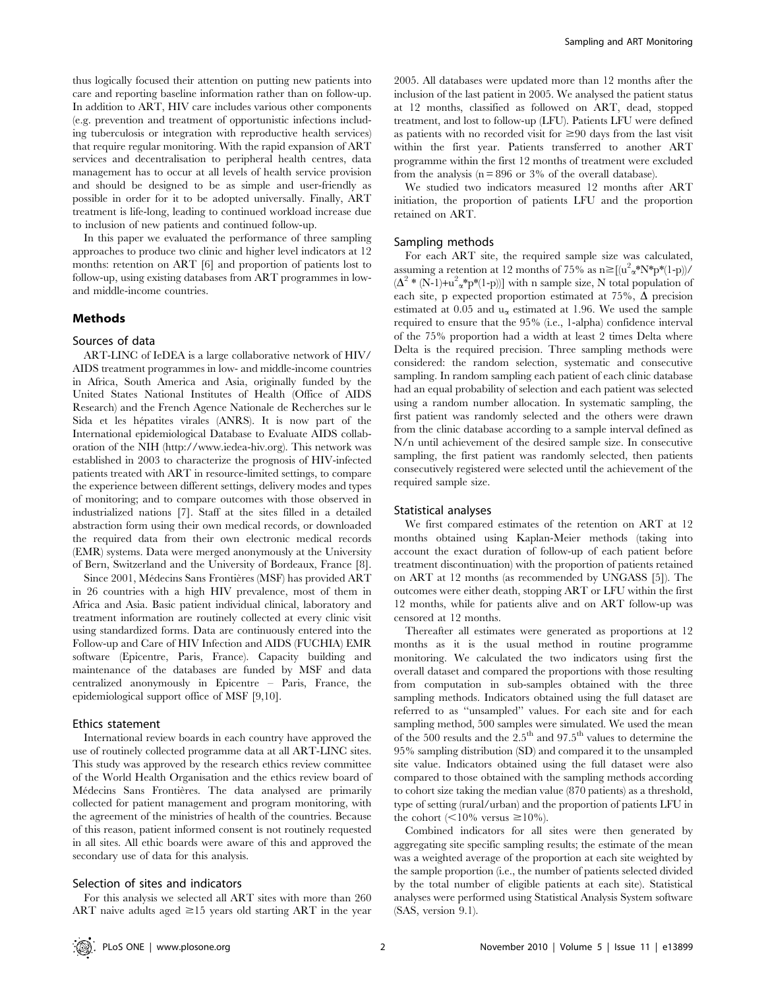thus logically focused their attention on putting new patients into care and reporting baseline information rather than on follow-up. In addition to ART, HIV care includes various other components (e.g. prevention and treatment of opportunistic infections including tuberculosis or integration with reproductive health services) that require regular monitoring. With the rapid expansion of ART services and decentralisation to peripheral health centres, data management has to occur at all levels of health service provision and should be designed to be as simple and user-friendly as possible in order for it to be adopted universally. Finally, ART treatment is life-long, leading to continued workload increase due to inclusion of new patients and continued follow-up.

In this paper we evaluated the performance of three sampling approaches to produce two clinic and higher level indicators at 12 months: retention on ART [6] and proportion of patients lost to follow-up, using existing databases from ART programmes in lowand middle-income countries.

# Methods

#### Sources of data

ART-LINC of IeDEA is a large collaborative network of HIV/ AIDS treatment programmes in low- and middle-income countries in Africa, South America and Asia, originally funded by the United States National Institutes of Health (Office of AIDS Research) and the French Agence Nationale de Recherches sur le Sida et les hépatites virales (ANRS). It is now part of the International epidemiological Database to Evaluate AIDS collaboration of the NIH (http://www.iedea-hiv.org). This network was established in 2003 to characterize the prognosis of HIV-infected patients treated with ART in resource-limited settings, to compare the experience between different settings, delivery modes and types of monitoring; and to compare outcomes with those observed in industrialized nations [7]. Staff at the sites filled in a detailed abstraction form using their own medical records, or downloaded the required data from their own electronic medical records (EMR) systems. Data were merged anonymously at the University of Bern, Switzerland and the University of Bordeaux, France [8].

Since 2001, Médecins Sans Frontières (MSF) has provided ART in 26 countries with a high HIV prevalence, most of them in Africa and Asia. Basic patient individual clinical, laboratory and treatment information are routinely collected at every clinic visit using standardized forms. Data are continuously entered into the Follow-up and Care of HIV Infection and AIDS (FUCHIA) EMR software (Epicentre, Paris, France). Capacity building and maintenance of the databases are funded by MSF and data centralized anonymously in Epicentre – Paris, France, the epidemiological support office of MSF [9,10].

### Ethics statement

International review boards in each country have approved the use of routinely collected programme data at all ART-LINC sites. This study was approved by the research ethics review committee of the World Health Organisation and the ethics review board of Médecins Sans Frontières. The data analysed are primarily collected for patient management and program monitoring, with the agreement of the ministries of health of the countries. Because of this reason, patient informed consent is not routinely requested in all sites. All ethic boards were aware of this and approved the secondary use of data for this analysis.

#### Selection of sites and indicators

For this analysis we selected all ART sites with more than 260 ART naive adults aged  $\geq 15$  years old starting ART in the year 2005. All databases were updated more than 12 months after the inclusion of the last patient in 2005. We analysed the patient status at 12 months, classified as followed on ART, dead, stopped treatment, and lost to follow-up (LFU). Patients LFU were defined as patients with no recorded visit for  $\geq 90$  days from the last visit within the first year. Patients transferred to another ART programme within the first 12 months of treatment were excluded from the analysis ( $n = 896$  or 3% of the overall database).

We studied two indicators measured 12 months after ART initiation, the proportion of patients LFU and the proportion retained on ART.

#### Sampling methods

For each ART site, the required sample size was calculated, assuming a retention at 12 months of 75% as  $n \ge [(u^2 \alpha^* N^* p^* (1-p))/$  $(\Delta^2 * (N-1)+u^2\alpha^*p^*(1-p))]$  with n sample size, N total population of each site, p expected proportion estimated at 75%,  $\Delta$  precision estimated at 0.05 and  $u_{\alpha}$  estimated at 1.96. We used the sample required to ensure that the 95% (i.e., 1-alpha) confidence interval of the 75% proportion had a width at least 2 times Delta where Delta is the required precision. Three sampling methods were considered: the random selection, systematic and consecutive sampling. In random sampling each patient of each clinic database had an equal probability of selection and each patient was selected using a random number allocation. In systematic sampling, the first patient was randomly selected and the others were drawn from the clinic database according to a sample interval defined as N/n until achievement of the desired sample size. In consecutive sampling, the first patient was randomly selected, then patients consecutively registered were selected until the achievement of the required sample size.

## Statistical analyses

We first compared estimates of the retention on ART at 12 months obtained using Kaplan-Meier methods (taking into account the exact duration of follow-up of each patient before treatment discontinuation) with the proportion of patients retained on ART at 12 months (as recommended by UNGASS [5]). The outcomes were either death, stopping ART or LFU within the first 12 months, while for patients alive and on ART follow-up was censored at 12 months.

Thereafter all estimates were generated as proportions at 12 months as it is the usual method in routine programme monitoring. We calculated the two indicators using first the overall dataset and compared the proportions with those resulting from computation in sub-samples obtained with the three sampling methods. Indicators obtained using the full dataset are referred to as ''unsampled'' values. For each site and for each sampling method, 500 samples were simulated. We used the mean of the 500 results and the  $2.5<sup>th</sup>$  and 97.5<sup>th</sup> values to determine the 95% sampling distribution (SD) and compared it to the unsampled site value. Indicators obtained using the full dataset were also compared to those obtained with the sampling methods according to cohort size taking the median value (870 patients) as a threshold, type of setting (rural/urban) and the proportion of patients LFU in the cohort ( $\leq 10\%$  versus  $\geq 10\%$ ).

Combined indicators for all sites were then generated by aggregating site specific sampling results; the estimate of the mean was a weighted average of the proportion at each site weighted by the sample proportion (i.e., the number of patients selected divided by the total number of eligible patients at each site). Statistical analyses were performed using Statistical Analysis System software (SAS, version 9.1).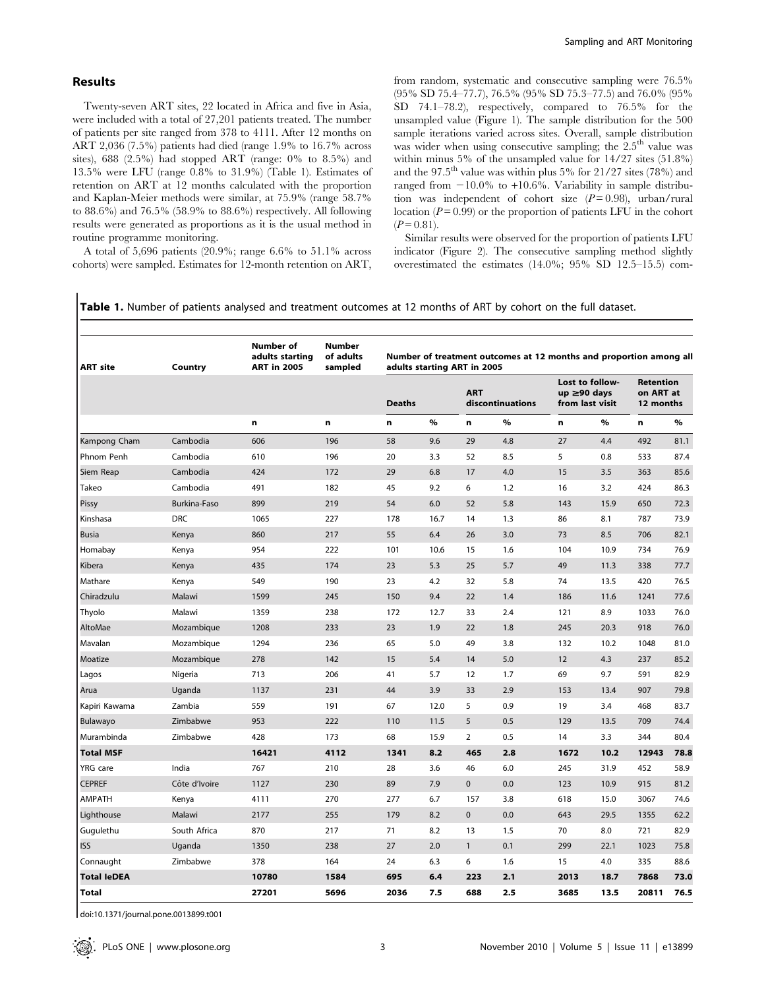## Results

Twenty-seven ART sites, 22 located in Africa and five in Asia, were included with a total of 27,201 patients treated. The number of patients per site ranged from 378 to 4111. After 12 months on ART 2,036 (7.5%) patients had died (range 1.9% to 16.7% across sites), 688 (2.5%) had stopped ART (range: 0% to 8.5%) and 13.5% were LFU (range 0.8% to 31.9%) (Table 1). Estimates of retention on ART at 12 months calculated with the proportion and Kaplan-Meier methods were similar, at 75.9% (range 58.7% to 88.6%) and 76.5% (58.9% to 88.6%) respectively. All following results were generated as proportions as it is the usual method in routine programme monitoring.

A total of 5,696 patients (20.9%; range 6.6% to 51.1% across cohorts) were sampled. Estimates for 12-month retention on ART, from random, systematic and consecutive sampling were 76.5% (95% SD 75.4–77.7), 76.5% (95% SD 75.3–77.5) and 76.0% (95% SD 74.1–78.2), respectively, compared to 76.5% for the unsampled value (Figure 1). The sample distribution for the 500 sample iterations varied across sites. Overall, sample distribution was wider when using consecutive sampling; the  $2.5<sup>th</sup>$  value was within minus 5% of the unsampled value for 14/27 sites (51.8%) and the  $97.5^{\text{th}}$  value was within plus 5% for  $21/27$  sites (78%) and ranged from  $-10.0\%$  to  $+10.6\%$ . Variability in sample distribution was independent of cohort size  $(P=0.98)$ , urban/rural location ( $P = 0.99$ ) or the proportion of patients LFU in the cohort  $(P = 0.81)$ .

Similar results were observed for the proportion of patients LFU indicator (Figure 2). The consecutive sampling method slightly overestimated the estimates (14.0%; 95% SD 12.5–15.5) com-

Table 1. Number of patients analysed and treatment outcomes at 12 months of ART by cohort on the full dataset.

| <b>ART site</b>    | Country       | <b>Number of</b><br>adults starting<br><b>ART in 2005</b><br>n | <b>Number</b><br>of adults<br>sampled<br>n | Number of treatment outcomes at 12 months and proportion among all<br>adults starting ART in 2005 |      |                                |     |                                                   |      |                                            |      |
|--------------------|---------------|----------------------------------------------------------------|--------------------------------------------|---------------------------------------------------------------------------------------------------|------|--------------------------------|-----|---------------------------------------------------|------|--------------------------------------------|------|
|                    |               |                                                                |                                            | <b>Deaths</b>                                                                                     |      | <b>ART</b><br>discontinuations |     | Lost to follow-<br>up ≥90 days<br>from last visit |      | <b>Retention</b><br>on ART at<br>12 months |      |
|                    |               |                                                                |                                            | n                                                                                                 | $\%$ | n                              | %   | n                                                 | $\%$ | n                                          | $\%$ |
| Kampong Cham       | Cambodia      | 606                                                            | 196                                        | 58                                                                                                | 9.6  | 29                             | 4.8 | 27                                                | 4.4  | 492                                        | 81.1 |
| Phnom Penh         | Cambodia      | 610                                                            | 196                                        | 20                                                                                                | 3.3  | 52                             | 8.5 | 5                                                 | 0.8  | 533                                        | 87.4 |
| Siem Reap          | Cambodia      | 424                                                            | 172                                        | 29                                                                                                | 6.8  | 17                             | 4.0 | 15                                                | 3.5  | 363                                        | 85.6 |
| Takeo              | Cambodia      | 491                                                            | 182                                        | 45                                                                                                | 9.2  | 6                              | 1.2 | 16                                                | 3.2  | 424                                        | 86.3 |
| Pissy              | Burkina-Faso  | 899                                                            | 219                                        | 54                                                                                                | 6.0  | 52                             | 5.8 | 143                                               | 15.9 | 650                                        | 72.3 |
| Kinshasa           | <b>DRC</b>    | 1065                                                           | 227                                        | 178                                                                                               | 16.7 | 14                             | 1.3 | 86                                                | 8.1  | 787                                        | 73.9 |
| <b>Busia</b>       | Kenya         | 860                                                            | 217                                        | 55                                                                                                | 6.4  | 26                             | 3.0 | 73                                                | 8.5  | 706                                        | 82.1 |
| Homabay            | Kenya         | 954                                                            | 222                                        | 101                                                                                               | 10.6 | 15                             | 1.6 | 104                                               | 10.9 | 734                                        | 76.9 |
| Kibera             | Kenya         | 435                                                            | 174                                        | 23                                                                                                | 5.3  | 25                             | 5.7 | 49                                                | 11.3 | 338                                        | 77.7 |
| Mathare            | Kenya         | 549                                                            | 190                                        | 23                                                                                                | 4.2  | 32                             | 5.8 | 74                                                | 13.5 | 420                                        | 76.5 |
| Chiradzulu         | Malawi        | 1599                                                           | 245                                        | 150                                                                                               | 9.4  | 22                             | 1.4 | 186                                               | 11.6 | 1241                                       | 77.6 |
| Thyolo             | Malawi        | 1359                                                           | 238                                        | 172                                                                                               | 12.7 | 33                             | 2.4 | 121                                               | 8.9  | 1033                                       | 76.0 |
| AltoMae            | Mozambique    | 1208                                                           | 233                                        | 23                                                                                                | 1.9  | 22                             | 1.8 | 245                                               | 20.3 | 918                                        | 76.0 |
| Mavalan            | Mozambique    | 1294                                                           | 236                                        | 65                                                                                                | 5.0  | 49                             | 3.8 | 132                                               | 10.2 | 1048                                       | 81.0 |
| Moatize            | Mozambique    | 278                                                            | 142                                        | 15                                                                                                | 5.4  | 14                             | 5.0 | 12                                                | 4.3  | 237                                        | 85.2 |
| Lagos              | Nigeria       | 713                                                            | 206                                        | 41                                                                                                | 5.7  | 12                             | 1.7 | 69                                                | 9.7  | 591                                        | 82.9 |
| Arua               | Uganda        | 1137                                                           | 231                                        | 44                                                                                                | 3.9  | 33                             | 2.9 | 153                                               | 13.4 | 907                                        | 79.8 |
| Kapiri Kawama      | Zambia        | 559                                                            | 191                                        | 67                                                                                                | 12.0 | 5                              | 0.9 | 19                                                | 3.4  | 468                                        | 83.7 |
| Bulawayo           | Zimbabwe      | 953                                                            | 222                                        | 110                                                                                               | 11.5 | 5                              | 0.5 | 129                                               | 13.5 | 709                                        | 74.4 |
| Murambinda         | Zimbabwe      | 428                                                            | 173                                        | 68                                                                                                | 15.9 | $\overline{2}$                 | 0.5 | 14                                                | 3.3  | 344                                        | 80.4 |
| <b>Total MSF</b>   |               | 16421                                                          | 4112                                       | 1341                                                                                              | 8.2  | 465                            | 2.8 | 1672                                              | 10.2 | 12943                                      | 78.8 |
| YRG care           | India         | 767                                                            | 210                                        | 28                                                                                                | 3.6  | 46                             | 6.0 | 245                                               | 31.9 | 452                                        | 58.9 |
| <b>CEPREF</b>      | Côte d'Ivoire | 1127                                                           | 230                                        | 89                                                                                                | 7.9  | $\mathbf{0}$                   | 0.0 | 123                                               | 10.9 | 915                                        | 81.2 |
| <b>AMPATH</b>      | Kenya         | 4111                                                           | 270                                        | 277                                                                                               | 6.7  | 157                            | 3.8 | 618                                               | 15.0 | 3067                                       | 74.6 |
| Lighthouse         | Malawi        | 2177                                                           | 255                                        | 179                                                                                               | 8.2  | $\mathbf{0}$                   | 0.0 | 643                                               | 29.5 | 1355                                       | 62.2 |
| Gugulethu          | South Africa  | 870                                                            | 217                                        | 71                                                                                                | 8.2  | 13                             | 1.5 | 70                                                | 8.0  | 721                                        | 82.9 |
| <b>ISS</b>         | Uganda        | 1350                                                           | 238                                        | 27                                                                                                | 2.0  | $\mathbf{1}$                   | 0.1 | 299                                               | 22.1 | 1023                                       | 75.8 |
| Connaught          | Zimbabwe      | 378                                                            | 164                                        | 24                                                                                                | 6.3  | 6                              | 1.6 | 15                                                | 4.0  | 335                                        | 88.6 |
| <b>Total leDEA</b> |               | 10780                                                          | 1584                                       | 695                                                                                               | 6.4  | 223                            | 2.1 | 2013                                              | 18.7 | 7868                                       | 73.0 |
| <b>Total</b>       |               | 27201                                                          | 5696                                       | 2036                                                                                              | 7.5  | 688                            | 2.5 | 3685                                              | 13.5 | 20811                                      | 76.5 |

doi:10.1371/journal.pone.0013899.t001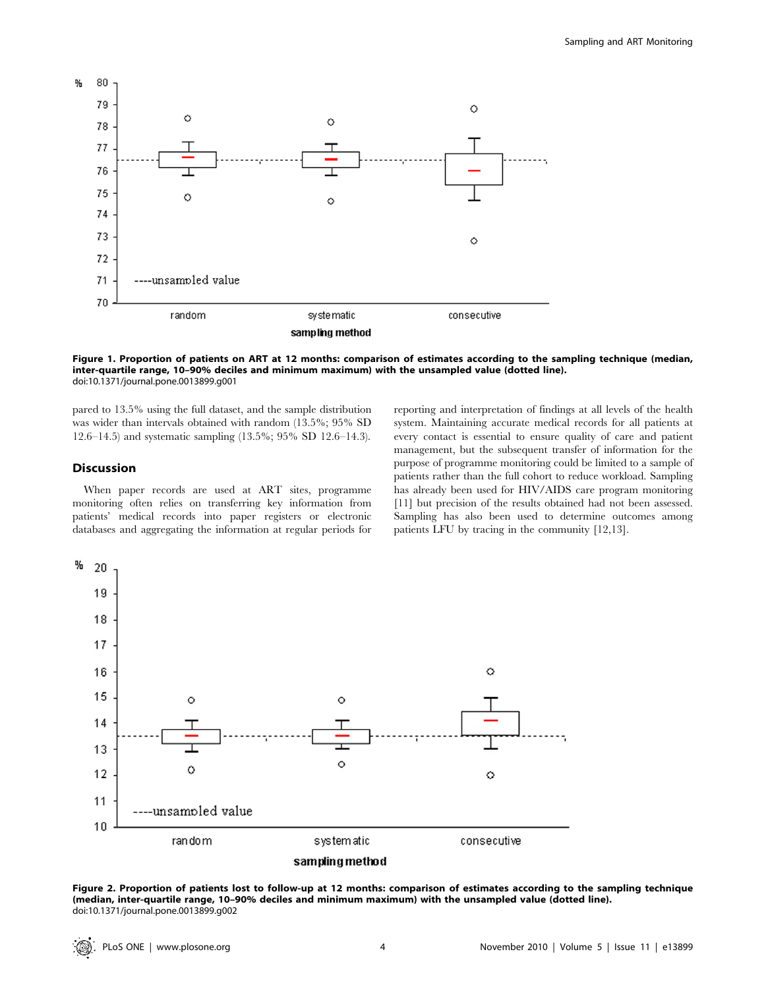

Figure 1. Proportion of patients on ART at 12 months: comparison of estimates according to the sampling technique (median, inter-quartile range, 10–90% deciles and minimum maximum) with the unsampled value (dotted line). doi:10.1371/journal.pone.0013899.g001

pared to 13.5% using the full dataset, and the sample distribution was wider than intervals obtained with random (13.5%; 95% SD 12.6–14.5) and systematic sampling (13.5%; 95% SD 12.6–14.3).

## **Discussion**

When paper records are used at ART sites, programme monitoring often relies on transferring key information from patients' medical records into paper registers or electronic databases and aggregating the information at regular periods for reporting and interpretation of findings at all levels of the health system. Maintaining accurate medical records for all patients at every contact is essential to ensure quality of care and patient management, but the subsequent transfer of information for the purpose of programme monitoring could be limited to a sample of patients rather than the full cohort to reduce workload. Sampling has already been used for HIV/AIDS care program monitoring [11] but precision of the results obtained had not been assessed. Sampling has also been used to determine outcomes among patients LFU by tracing in the community [12,13].



Figure 2. Proportion of patients lost to follow-up at 12 months: comparison of estimates according to the sampling technique (median, inter-quartile range, 10–90% deciles and minimum maximum) with the unsampled value (dotted line). doi:10.1371/journal.pone.0013899.g002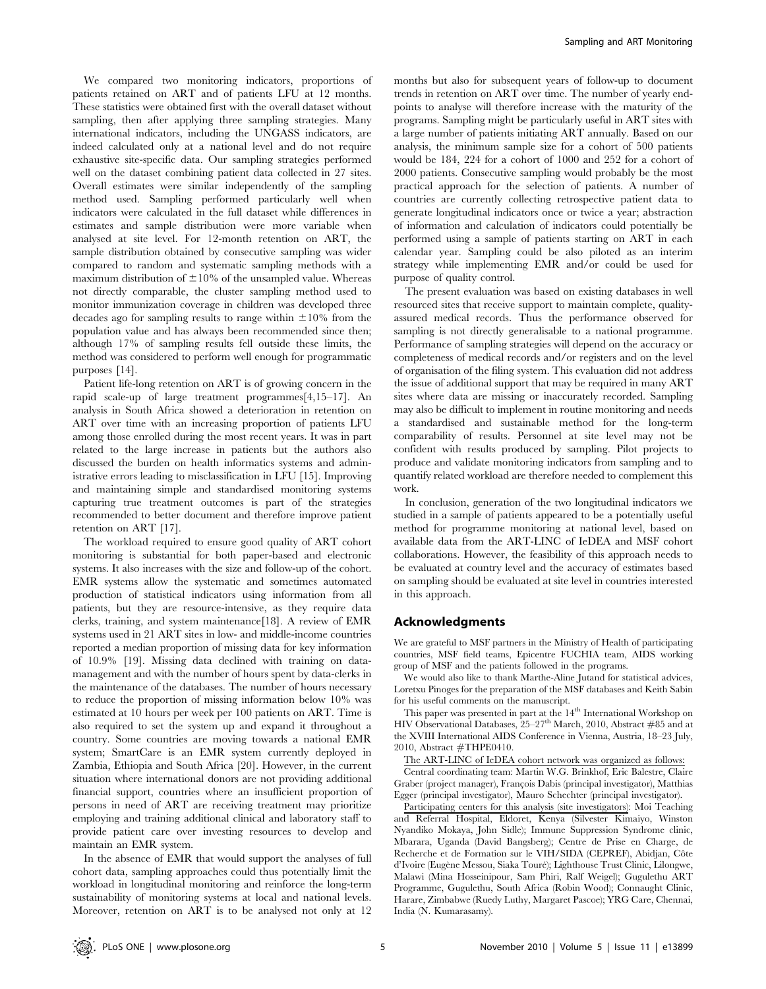We compared two monitoring indicators, proportions of patients retained on ART and of patients LFU at 12 months. These statistics were obtained first with the overall dataset without sampling, then after applying three sampling strategies. Many international indicators, including the UNGASS indicators, are indeed calculated only at a national level and do not require exhaustive site-specific data. Our sampling strategies performed well on the dataset combining patient data collected in 27 sites. Overall estimates were similar independently of the sampling method used. Sampling performed particularly well when indicators were calculated in the full dataset while differences in estimates and sample distribution were more variable when analysed at site level. For 12-month retention on ART, the sample distribution obtained by consecutive sampling was wider compared to random and systematic sampling methods with a maximum distribution of  $\pm 10\%$  of the unsampled value. Whereas not directly comparable, the cluster sampling method used to monitor immunization coverage in children was developed three decades ago for sampling results to range within  $\pm 10\%$  from the population value and has always been recommended since then; although 17% of sampling results fell outside these limits, the method was considered to perform well enough for programmatic purposes [14].

Patient life-long retention on ART is of growing concern in the rapid scale-up of large treatment programmes[4,15–17]. An analysis in South Africa showed a deterioration in retention on ART over time with an increasing proportion of patients LFU among those enrolled during the most recent years. It was in part related to the large increase in patients but the authors also discussed the burden on health informatics systems and administrative errors leading to misclassification in LFU [15]. Improving and maintaining simple and standardised monitoring systems capturing true treatment outcomes is part of the strategies recommended to better document and therefore improve patient retention on ART [17].

The workload required to ensure good quality of ART cohort monitoring is substantial for both paper-based and electronic systems. It also increases with the size and follow-up of the cohort. EMR systems allow the systematic and sometimes automated production of statistical indicators using information from all patients, but they are resource-intensive, as they require data clerks, training, and system maintenance[18]. A review of EMR systems used in 21 ART sites in low- and middle-income countries reported a median proportion of missing data for key information of 10.9% [19]. Missing data declined with training on datamanagement and with the number of hours spent by data-clerks in the maintenance of the databases. The number of hours necessary to reduce the proportion of missing information below 10% was estimated at 10 hours per week per 100 patients on ART. Time is also required to set the system up and expand it throughout a country. Some countries are moving towards a national EMR system; SmartCare is an EMR system currently deployed in Zambia, Ethiopia and South Africa [20]. However, in the current situation where international donors are not providing additional financial support, countries where an insufficient proportion of persons in need of ART are receiving treatment may prioritize employing and training additional clinical and laboratory staff to provide patient care over investing resources to develop and maintain an EMR system.

In the absence of EMR that would support the analyses of full cohort data, sampling approaches could thus potentially limit the workload in longitudinal monitoring and reinforce the long-term sustainability of monitoring systems at local and national levels. Moreover, retention on ART is to be analysed not only at 12 months but also for subsequent years of follow-up to document trends in retention on ART over time. The number of yearly endpoints to analyse will therefore increase with the maturity of the programs. Sampling might be particularly useful in ART sites with a large number of patients initiating ART annually. Based on our analysis, the minimum sample size for a cohort of 500 patients would be 184, 224 for a cohort of 1000 and 252 for a cohort of 2000 patients. Consecutive sampling would probably be the most practical approach for the selection of patients. A number of countries are currently collecting retrospective patient data to generate longitudinal indicators once or twice a year; abstraction of information and calculation of indicators could potentially be performed using a sample of patients starting on ART in each calendar year. Sampling could be also piloted as an interim strategy while implementing EMR and/or could be used for purpose of quality control.

The present evaluation was based on existing databases in well resourced sites that receive support to maintain complete, qualityassured medical records. Thus the performance observed for sampling is not directly generalisable to a national programme. Performance of sampling strategies will depend on the accuracy or completeness of medical records and/or registers and on the level of organisation of the filing system. This evaluation did not address the issue of additional support that may be required in many ART sites where data are missing or inaccurately recorded. Sampling may also be difficult to implement in routine monitoring and needs a standardised and sustainable method for the long-term comparability of results. Personnel at site level may not be confident with results produced by sampling. Pilot projects to produce and validate monitoring indicators from sampling and to quantify related workload are therefore needed to complement this work.

In conclusion, generation of the two longitudinal indicators we studied in a sample of patients appeared to be a potentially useful method for programme monitoring at national level, based on available data from the ART-LINC of IeDEA and MSF cohort collaborations. However, the feasibility of this approach needs to be evaluated at country level and the accuracy of estimates based on sampling should be evaluated at site level in countries interested in this approach.

# Acknowledgments

We are grateful to MSF partners in the Ministry of Health of participating countries, MSF field teams, Epicentre FUCHIA team, AIDS working group of MSF and the patients followed in the programs.

We would also like to thank Marthe-Aline Jutand for statistical advices, Loretxu Pinoges for the preparation of the MSF databases and Keith Sabin for his useful comments on the manuscript.

This paper was presented in part at the  $14^{\rm th}$  International Workshop on HIV Observational Databases,  $25-27$ <sup>th</sup> March, 2010, Abstract #85 and at the XVIII International AIDS Conference in Vienna, Austria, 18–23 July, 2010, Abstract #THPE0410.

The ART-LINC of IeDEA cohort network was organized as follows: Central coordinating team: Martin W.G. Brinkhof, Eric Balestre, Claire Graber (project manager), François Dabis (principal investigator), Matthias Egger (principal investigator), Mauro Schechter (principal investigator).

Participating centers for this analysis (site investigators): Moi Teaching and Referral Hospital, Eldoret, Kenya (Silvester Kimaiyo, Winston Nyandiko Mokaya, John Sidle); Immune Suppression Syndrome clinic, Mbarara, Uganda (David Bangsberg); Centre de Prise en Charge, de Recherche et de Formation sur le VIH/SIDA (CEPREF), Abidjan, Côte d'Ivoire (Eugène Messou, Siaka Touré); Lighthouse Trust Clinic, Lilongwe, Malawi (Mina Hosseinipour, Sam Phiri, Ralf Weigel); Gugulethu ART Programme, Gugulethu, South Africa (Robin Wood); Connaught Clinic, Harare, Zimbabwe (Ruedy Luthy, Margaret Pascoe); YRG Care, Chennai, India (N. Kumarasamy).